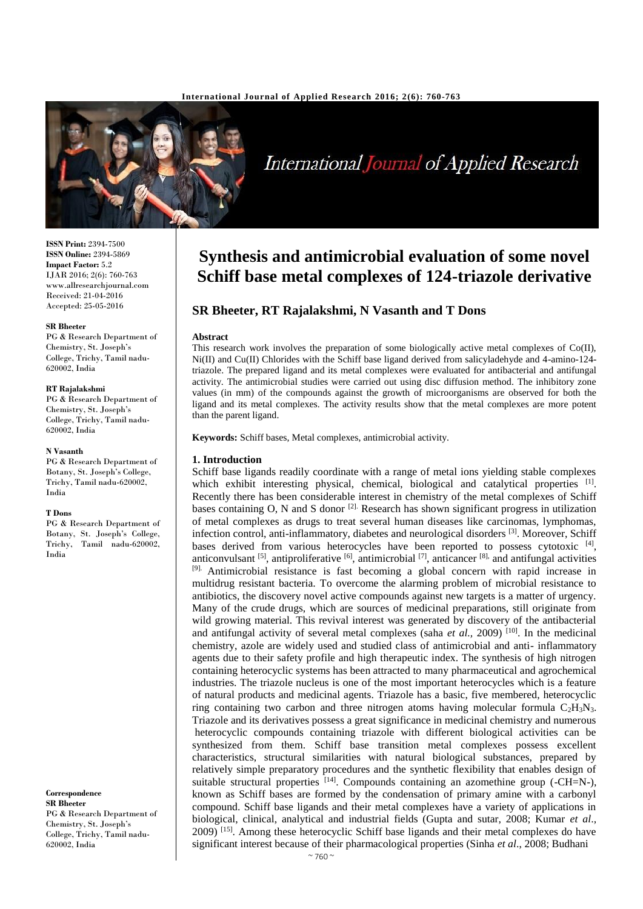

**International Journal of Applied Research** 

**ISSN Print:** 2394-7500 **ISSN Online:** 2394-5869 **Impact Factor:** 5.2 IJAR 2016; 2(6): 760-763 www.allresearchjournal.com Received: 21-04-2016 Accepted: 25-05-2016

#### **SR Bheeter**

PG & Research Department of Chemistry, St. Joseph's College, Trichy, Tamil nadu-620002, India

#### **RT Rajalakshmi**

PG & Research Department of Chemistry, St. Joseph's College, Trichy, Tamil nadu-620002, India

#### **N Vasanth**

PG & Research Department of Botany, St. Joseph's College, Trichy, Tamil nadu-620002, India

#### **T Dons**

PG & Research Department of Botany, St. Joseph's College, Trichy, Tamil nadu-620002, India

**Correspondence SR Bheeter** PG & Research Department of Chemistry, St. Joseph's College, Trichy, Tamil nadu-620002, India

# **Synthesis and antimicrobial evaluation of some novel Schiff base metal complexes of 124-triazole derivative**

# **SR Bheeter, RT Rajalakshmi, N Vasanth and T Dons**

#### **Abstract**

This research work involves the preparation of some biologically active metal complexes of Co(II), Ni(II) and Cu(II) Chlorides with the Schiff base ligand derived from salicyladehyde and 4-amino-124 triazole. The prepared ligand and its metal complexes were evaluated for antibacterial and antifungal activity. The antimicrobial studies were carried out using disc diffusion method. The inhibitory zone values (in mm) of the compounds against the growth of microorganisms are observed for both the ligand and its metal complexes. The activity results show that the metal complexes are more potent than the parent ligand.

**Keywords:** Schiff bases, Metal complexes, antimicrobial activity.

#### **1. Introduction**

Schiff base ligands readily coordinate with a range of metal ions yielding stable complexes which exhibit interesting physical, chemical, biological and catalytical properties [1]. Recently there has been considerable interest in chemistry of the metal complexes of Schiff bases containing O, N and S donor  $^{[2]}$ . Research has shown significant progress in utilization of metal complexes as drugs to treat several human diseases like carcinomas, lymphomas, infection control, anti-inflammatory, diabetes and neurological disorders <sup>[3]</sup>. Moreover, Schiff bases derived from various heterocycles have been reported to possess cytotoxic [4], anticonvulsant <sup>[5]</sup>, antiproliferative <sup>[6]</sup>, antimicrobial <sup>[7]</sup>, anticancer <sup>[8],</sup> and antifungal activities [9]. Antimicrobial resistance is fast becoming a global concern with rapid increase in multidrug resistant bacteria. To overcome the alarming problem of microbial resistance to antibiotics, the discovery novel active compounds against new targets is a matter of urgency. Many of the crude drugs, which are sources of medicinal preparations, still originate from wild growing material. This revival interest was generated by discovery of the antibacterial and antifungal activity of several metal complexes (saha *et al.*, 2009)<sup>[10]</sup>. In the medicinal chemistry, azole are widely used and studied class of antimicrobial and anti- inflammatory agents due to their safety profile and high therapeutic index. The synthesis of high nitrogen containing heterocyclic systems has been attracted to many pharmaceutical and agrochemical industries. The triazole nucleus is one of the most important heterocycles which is a feature of natural products and medicinal agents. Triazole has a basic, five membered, heterocyclic ring containing two carbon and three nitrogen atoms having molecular formula  $C_2H_3N_3$ . Triazole and its derivatives possess a great significance in medicinal chemistry and numerous heterocyclic compounds containing triazole with different biological activities can be synthesized from them. Schiff base transition metal complexes possess excellent characteristics, structural similarities with natural biological substances, prepared by relatively simple preparatory procedures and the synthetic flexibility that enables design of suitable structural properties  $[14]$ . Compounds containing an azomethine group (-CH=N-), known as Schiff bases are formed by the condensation of primary amine with a carbonyl compound. Schiff base ligands and their metal complexes have a variety of applications in biological, clinical, analytical and industrial fields (Gupta and sutar, 2008; Kumar *et al*., 2009) [15]. Among these heterocyclic Schiff base ligands and their metal complexes do have significant interest because of their pharmacological properties (Sinha *et al*., 2008; Budhani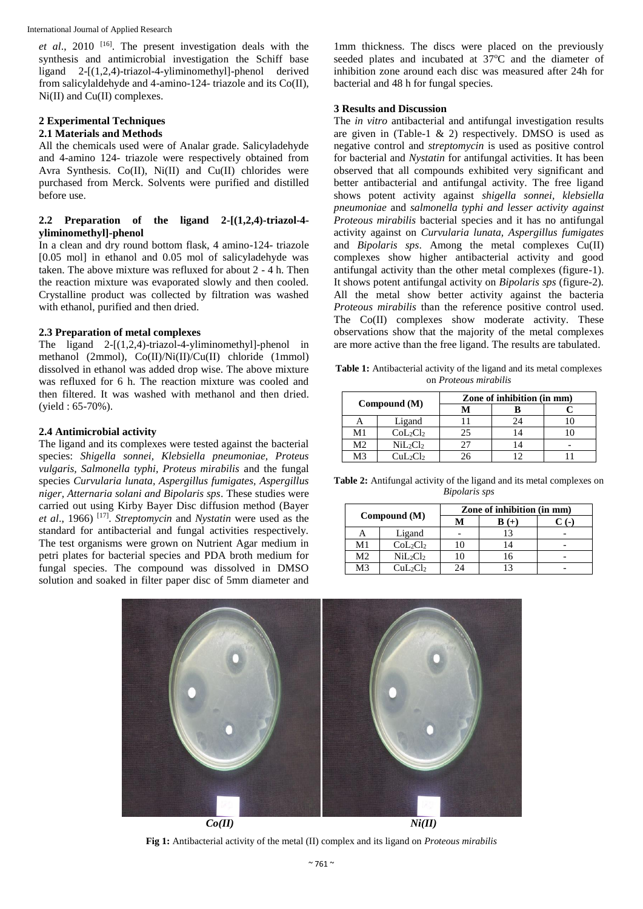International Journal of Applied Research

*et al*., 2010 [16] . The present investigation deals with the synthesis and antimicrobial investigation the Schiff base ligand 2-[(1,2,4)-triazol-4-yliminomethyl]-phenol derived from salicylaldehyde and 4-amino-124- triazole and its Co(II), Ni(II) and Cu(II) complexes.

# **2 Experimental Techniques**

# **2.1 Materials and Methods**

All the chemicals used were of Analar grade. Salicyladehyde and 4-amino 124- triazole were respectively obtained from Avra Synthesis. Co(II), Ni(II) and Cu(II) chlorides were purchased from Merck. Solvents were purified and distilled before use.

# **2.2 Preparation of the ligand 2-[(1,2,4)-triazol-4 yliminomethyl]-phenol**

In a clean and dry round bottom flask, 4 amino-124- triazole [0.05 mol] in ethanol and 0.05 mol of salicyladehyde was taken. The above mixture was refluxed for about 2 - 4 h. Then the reaction mixture was evaporated slowly and then cooled. Crystalline product was collected by filtration was washed with ethanol, purified and then dried.

# **2.3 Preparation of metal complexes**

The ligand 2-[(1,2,4)-triazol-4-yliminomethyl]-phenol in methanol (2mmol), Co(II)/Ni(II)/Cu(II) chloride (1mmol) dissolved in ethanol was added drop wise. The above mixture was refluxed for 6 h. The reaction mixture was cooled and then filtered. It was washed with methanol and then dried. (yield : 65-70%).

# **2.4 Antimicrobial activity**

The ligand and its complexes were tested against the bacterial species: *Shigella sonnei, Klebsiella pneumoniae, Proteus vulgaris, Salmonella typhi, Proteus mirabilis* and the fungal species *Curvularia lunata, Aspergillus fumigates, Aspergillus niger, Atternaria solani and Bipolaris sps*. These studies were carried out using Kirby Bayer Disc diffusion method (Bayer *et al*., 1966) [17] . *Streptomycin* and *Nystatin* were used as the standard for antibacterial and fungal activities respectively. The test organisms were grown on Nutrient Agar medium in petri plates for bacterial species and PDA broth medium for fungal species. The compound was dissolved in DMSO solution and soaked in filter paper disc of 5mm diameter and

1mm thickness. The discs were placed on the previously seeded plates and incubated at 37°C and the diameter of inhibition zone around each disc was measured after 24h for bacterial and 48 h for fungal species.

## **3 Results and Discussion**

The *in vitro* antibacterial and antifungal investigation results are given in (Table-1  $\&$  2) respectively. DMSO is used as negative control and *streptomycin* is used as positive control for bacterial and *Nystatin* for antifungal activities. It has been observed that all compounds exhibited very significant and better antibacterial and antifungal activity. The free ligand shows potent activity against *shigella sonnei, klebsiella pneumoniae* and *salmonella typhi and lesser activity against Proteous mirabilis* bacterial species and it has no antifungal activity against on *Curvularia lunata, Aspergillus fumigates*  and *Bipolaris sps*. Among the metal complexes Cu(II) complexes show higher antibacterial activity and good antifungal activity than the other metal complexes (figure-1). It shows potent antifungal activity on *Bipolaris sps* (figure-2)*.* All the metal show better activity against the bacteria *Proteous mirabilis* than the reference positive control used. The Co(II) complexes show moderate activity. These observations show that the majority of the metal complexes are more active than the free ligand. The results are tabulated.

**Table 1:** Antibacterial activity of the ligand and its metal complexes on *Proteous mirabilis*

| Compound (M)   |                                  | Zone of inhibition (in mm) |    |  |
|----------------|----------------------------------|----------------------------|----|--|
|                |                                  |                            |    |  |
|                | Ligand                           |                            | 24 |  |
| M1             | $CoL_2Cl_2$                      | 25                         |    |  |
| M <sub>2</sub> | $NiL_2Cl2$                       |                            |    |  |
| M3             | CuL <sub>2</sub> Cl <sub>2</sub> |                            |    |  |

**Table 2:** Antifungal activity of the ligand and its metal complexes on *Bipolaris sps*

| Compound (M)   |                                  | Zone of inhibition (in mm) |  |  |
|----------------|----------------------------------|----------------------------|--|--|
|                |                                  | М                          |  |  |
|                | Ligand                           |                            |  |  |
| M1             | CoL <sub>2</sub> Cl <sub>2</sub> |                            |  |  |
| M <sub>2</sub> | $NiL_2Cl2$                       |                            |  |  |
| M3             | $CuL_2Cl_2$                      | 24                         |  |  |



**Fig 1:** Antibacterial activity of the metal (II) complex and its ligand on *Proteous mirabilis*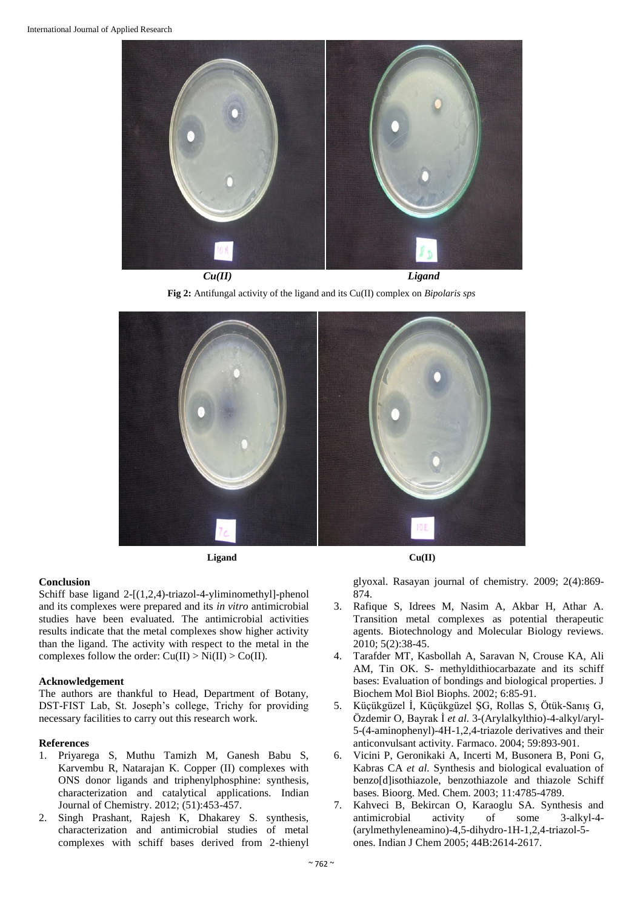

*Cu(II) Ligand*

**Fig 2:** Antifungal activity of the ligand and its Cu(II) complex on *Bipolaris sps*



**Ligand Cu(II)**

## **Conclusion**

Schiff base ligand 2-[(1,2,4)-triazol-4-yliminomethyl]-phenol and its complexes were prepared and its *in vitro* antimicrobial studies have been evaluated. The antimicrobial activities results indicate that the metal complexes show higher activity than the ligand. The activity with respect to the metal in the complexes follow the order:  $Cu(II) > Ni(II) > Co(II)$ .

## **Acknowledgement**

The authors are thankful to Head, Department of Botany, DST-FIST Lab, St. Joseph's college, Trichy for providing necessary facilities to carry out this research work.

## **References**

- 1. Priyarega S, Muthu Tamizh M, Ganesh Babu S, Karvembu R, Natarajan K. Copper (II) complexes with ONS donor ligands and triphenylphosphine: synthesis, characterization and catalytical applications. Indian Journal of Chemistry. 2012; (51):453-457.
- 2. Singh Prashant, Rajesh K, Dhakarey S. synthesis, characterization and antimicrobial studies of metal complexes with schiff bases derived from 2-thienyl



glyoxal. Rasayan journal of chemistry*.* 2009; 2(4):869- 874.

- 3. Rafique S, Idrees M, Nasim A, Akbar H, Athar A. Transition metal complexes as potential therapeutic agents. Biotechnology and Molecular Biology reviews. 2010; 5(2):38-45.
- 4. Tarafder MT, Kasbollah A, Saravan N, Crouse KA, Ali AM, Tin OK. S- methyldithiocarbazate and its schiff bases: Evaluation of bondings and biological properties. J Biochem Mol Biol Biophs. 2002; 6:85-91.
- 5. Küçükgüzel İ, Küçükgüzel ŞG, Rollas S, Ötük-Sanış G, Özdemir O, Bayrak İ *et al.* 3-(Arylalkylthio)-4-alkyl/aryl-5-(4-aminophenyl)-4H-1,2,4-triazole derivatives and their anticonvulsant activity. Farmaco. 2004; 59:893-901.
- 6. Vicini P, Geronikaki A, Incerti M, Busonera B, Poni G, Kabras CA *et al.* Synthesis and biological evaluation of benzo[d]isothiazole, benzothiazole and thiazole Schiff bases. Bioorg. Med. Chem. 2003; 11:4785-4789.
- 7. Kahveci B, Bekircan O, Karaoglu SA. Synthesis and antimicrobial activity of some 3-alkyl-4- (arylmethyleneamino)-4,5-dihydro-1H-1,2,4-triazol-5 ones. Indian J Chem 2005; 44B:2614-2617.